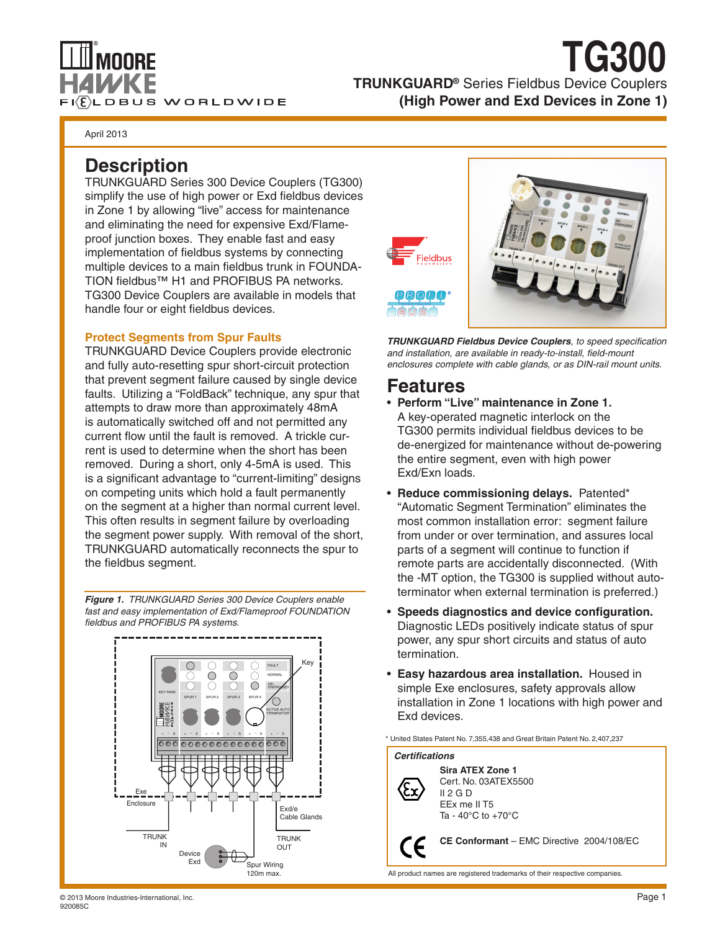

## **TRUNKGUARD®** Series Fieldbus Device Couplers **(High Power and Exd Devices in Zone 1) TG300**

April 2013

## **Description**

TRUNKGUARD Series 300 Device Couplers (TG300) simplify the use of high power or Exd fieldbus devices in Zone 1 by allowing "live" access for maintenance and eliminating the need for expensive Exd/Flameproof junction boxes. They enable fast and easy implementation of fieldbus systems by connecting multiple devices to a main fieldbus trunk in FOUNDA-TION fieldbus™ H1 and PROFIBUS PA networks. TG300 Device Couplers are available in models that handle four or eight fieldbus devices.

#### **Protect Segments from Spur Faults**

TRUNKGUARD Device Couplers provide electronic and fully auto-resetting spur short-circuit protection that prevent segment failure caused by single device faults. Utilizing a "FoldBack" technique, any spur that attempts to draw more than approximately 48mA is automatically switched off and not permitted any current flow until the fault is removed. A trickle current is used to determine when the short has been removed. During a short, only 4-5mA is used. This is a significant advantage to "current-limiting" designs on competing units which hold a fault permanently on the segment at a higher than normal current level. This often results in segment failure by overloading the segment power supply. With removal of the short, TRUNKGUARD automatically reconnects the spur to the fieldbus segment.

*Figure 1. TRUNKGUARD Series 300 Device Couplers enable fast and easy implementation of Exd/Flameproof FOUNDATION fieldbus and PROFIBUS PA systems.*





*TRUNKGUARD Fieldbus Device Couplers, to speed specification and installation, are available in ready-to-install, field-mount enclosures complete with cable glands, or as DIN-rail mount units.*

### **Features**

- • **Perform "Live" maintenance in Zone 1.** A key-operated magnetic interlock on the TG300 permits individual fieldbus devices to be de-energized for maintenance without de-powering the entire segment, even with high power Exd/Exn loads.
- • **Reduce commissioning delays.** Patented\* "Automatic Segment Termination" eliminates the most common installation error: segment failure from under or over termination, and assures local parts of a segment will continue to function if remote parts are accidentally disconnected. (With the -MT option, the TG300 is supplied without autoterminator when external termination is preferred.)
- • **Speeds diagnostics and device configuration.** Diagnostic LEDs positively indicate status of spur power, any spur short circuits and status of auto termination.
- • **Easy hazardous area installation.** Housed in simple Exe enclosures, safety approvals allow installation in Zone 1 locations with high power and Exd devices.

\* United States Patent No. 7,355,438 and Great Britain Patent No. 2,407,237



All product names are registered trademarks of their respective companies.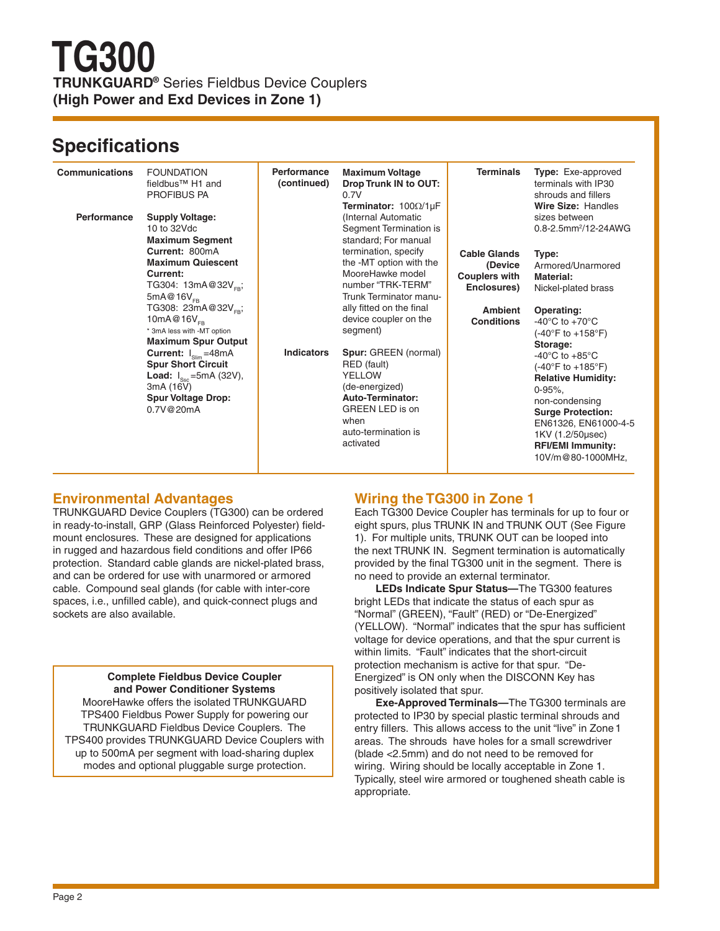## **Specifications**

| <b>Communications</b><br><b>Performance</b> | <b>FOUNDATION</b><br>fieldbus <sup>™</sup> H1 and<br><b>PROFIBUS PA</b><br><b>Supply Voltage:</b>                                                                                                                                                                                                                                                                                                                                                          | Performance<br>(continued) | <b>Maximum Voltage</b><br>Drop Trunk IN to OUT:<br>0.7V<br>Terminator: $100\Omega/1\mu F$<br>(Internal Automatic                                                                                                                                                                                                                                                                                   | <b>Terminals</b>                                                                                             | <b>Type:</b> Exe-approved<br>terminals with IP30<br>shrouds and fillers<br>Wire Size: Handles<br>sizes between                                                                                                                                                                                                                                                                                                                                                                                      |
|---------------------------------------------|------------------------------------------------------------------------------------------------------------------------------------------------------------------------------------------------------------------------------------------------------------------------------------------------------------------------------------------------------------------------------------------------------------------------------------------------------------|----------------------------|----------------------------------------------------------------------------------------------------------------------------------------------------------------------------------------------------------------------------------------------------------------------------------------------------------------------------------------------------------------------------------------------------|--------------------------------------------------------------------------------------------------------------|-----------------------------------------------------------------------------------------------------------------------------------------------------------------------------------------------------------------------------------------------------------------------------------------------------------------------------------------------------------------------------------------------------------------------------------------------------------------------------------------------------|
|                                             | 10 to 32Vdc<br><b>Maximum Segment</b><br>Current: 800mA<br><b>Maximum Quiescent</b><br>Current:<br>TG304: 13mA@32V <sub>FR</sub> ;<br>$5mA@16V_{FB}$<br>TG308: 23mA@32V <sub>FR</sub> ;<br>10mA@16 $V_{\text{CD}}$<br>* 3mA less with -MT option<br><b>Maximum Spur Output</b><br><b>Current:</b> $I_{\text{slim}}$ =48mA<br><b>Spur Short Circuit</b><br><b>Load:</b> $I_{\text{Ssc}}$ =5mA (32V),<br>3mA (16V)<br><b>Spur Voltage Drop:</b><br>0.7V@20mA | <b>Indicators</b>          | Segment Termination is<br>standard; For manual<br>termination, specify<br>the -MT option with the<br>MooreHawke model<br>number "TRK-TERM"<br>Trunk Terminator manu-<br>ally fitted on the final<br>device coupler on the<br>segment)<br>Spur: GREEN (normal)<br>RED (fault)<br>YELLOW<br>(de-energized)<br>Auto-Terminator:<br><b>GREEN LED is on</b><br>when<br>auto-termination is<br>activated | <b>Cable Glands</b><br>(Device<br><b>Couplers with</b><br>Enclosures)<br><b>Ambient</b><br><b>Conditions</b> | 0.8-2.5mm <sup>2</sup> /12-24AWG<br>Type:<br>Armored/Unarmored<br><b>Material:</b><br>Nickel-plated brass<br>Operating:<br>-40 $\mathrm{^{\circ}C}$ to +70 $\mathrm{^{\circ}C}$<br>$(-40^{\circ}F to +158^{\circ}F)$<br>Storage:<br>-40 $^{\circ}$ C to +85 $^{\circ}$ C<br>$(-40^{\circ}F to +185^{\circ}F)$<br><b>Relative Humidity:</b><br>$0 - 95\%$<br>non-condensing<br><b>Surge Protection:</b><br>EN61326, EN61000-4-5<br>1KV (1.2/50usec)<br><b>RFI/EMI Immunity:</b><br>10V/m@80-1000MHz, |

### **Environmental Advantages**

TRUNKGUARD Device Couplers (TG300) can be ordered in ready-to-install, GRP (Glass Reinforced Polyester) fieldmount enclosures. These are designed for applications in rugged and hazardous field conditions and offer IP66 protection. Standard cable glands are nickel-plated brass, and can be ordered for use with unarmored or armored cable. Compound seal glands (for cable with inter-core spaces, i.e., unfilled cable), and quick-connect plugs and sockets are also available.

#### **Complete Fieldbus Device Coupler and Power Conditioner Systems**

MooreHawke offers the isolated TRUNKGUARD TPS400 Fieldbus Power Supply for powering our TRUNKGUARD Fieldbus Device Couplers. The TPS400 provides TRUNKGUARD Device Couplers with up to 500mA per segment with load-sharing duplex modes and optional pluggable surge protection.

### **Wiring the TG300 in Zone 1**

Each TG300 Device Coupler has terminals for up to four or eight spurs, plus TRUNK IN and TRUNK OUT (See Figure 1). For multiple units, TRUNK OUT can be looped into the next TRUNK IN. Segment termination is automatically provided by the final TG300 unit in the segment. There is no need to provide an external terminator.

**LEDs Indicate Spur Status—**The TG300 features bright LEDs that indicate the status of each spur as "Normal" (GREEN), "Fault" (RED) or "De-Energized" (YELLOW). "Normal" indicates that the spur has sufficient voltage for device operations, and that the spur current is within limits. "Fault" indicates that the short-circuit protection mechanism is active for that spur. "De-Energized" is ON only when the DISCONN Key has positively isolated that spur.

**Exe-Approved Terminals—**The TG300 terminals are protected to IP30 by special plastic terminal shrouds and entry fillers. This allows access to the unit "live" in Zone 1 areas. The shrouds have holes for a small screwdriver (blade <2.5mm) and do not need to be removed for wiring. Wiring should be locally acceptable in Zone 1. Typically, steel wire armored or toughened sheath cable is appropriate.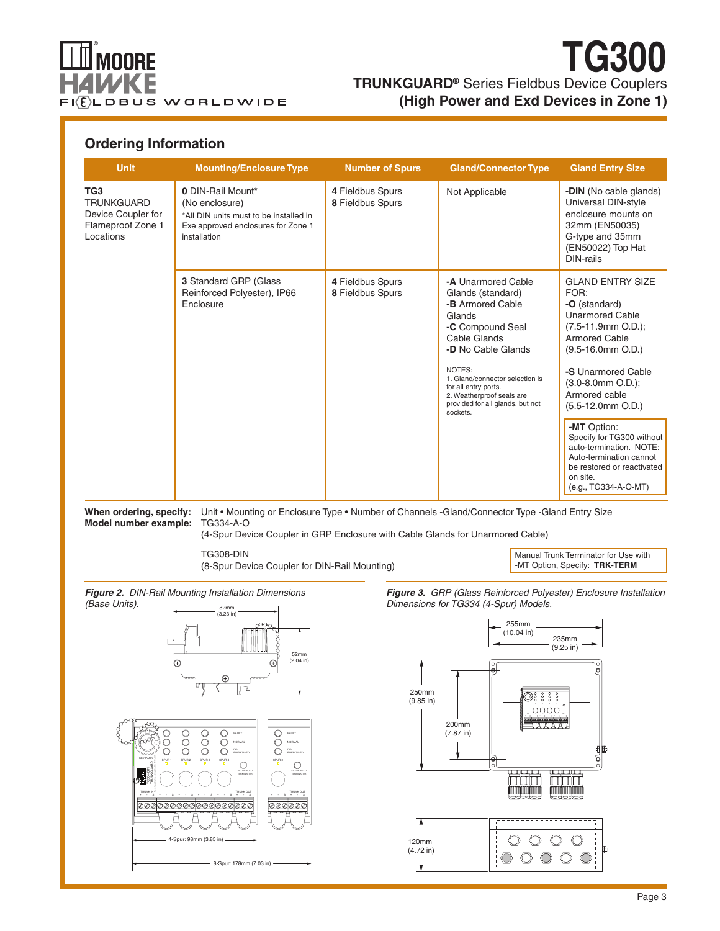

## **TRUNKGUARD®** Series Fieldbus Device Couplers **(High Power and Exd Devices in Zone 1) TG300**

### **Ordering Information**

| <b>Unit</b>                                                                                  | <b>Mounting/Enclosure Type</b>                                                                                                      | <b>Number of Spurs</b>               | <b>Gland/Connector Type</b>                                                                                                                                                                                                                                                       | <b>Gland Entry Size</b>                                                                                                                                                                                                                                                                                                                                                       |
|----------------------------------------------------------------------------------------------|-------------------------------------------------------------------------------------------------------------------------------------|--------------------------------------|-----------------------------------------------------------------------------------------------------------------------------------------------------------------------------------------------------------------------------------------------------------------------------------|-------------------------------------------------------------------------------------------------------------------------------------------------------------------------------------------------------------------------------------------------------------------------------------------------------------------------------------------------------------------------------|
| TG <sub>3</sub><br><b>TRUNKGUARD</b><br>Device Coupler for<br>Flameproof Zone 1<br>Locations | 0 DIN-Rail Mount*<br>(No enclosure)<br>*All DIN units must to be installed in<br>Exe approved enclosures for Zone 1<br>installation | 4 Fieldbus Spurs<br>8 Fieldbus Spurs | Not Applicable                                                                                                                                                                                                                                                                    | -DIN (No cable glands)<br>Universal DIN-style<br>enclosure mounts on<br>32mm (EN50035)<br>G-type and 35mm<br>(EN50022) Top Hat<br>DIN-rails                                                                                                                                                                                                                                   |
|                                                                                              | 3 Standard GRP (Glass<br>Reinforced Polyester), IP66<br>Enclosure                                                                   | 4 Fieldbus Spurs<br>8 Fieldbus Spurs | -A Unarmored Cable<br>Glands (standard)<br>-B Armored Cable<br>Glands<br>-C Compound Seal<br>Cable Glands<br>-D No Cable Glands<br>NOTES:<br>1. Gland/connector selection is<br>for all entry ports.<br>2. Weatherproof seals are<br>provided for all glands, but not<br>sockets. | <b>GLAND ENTRY SIZE</b><br>FOR:<br>-O (standard)<br><b>Unarmored Cable</b><br>$(7.5-11.9mm O.D.);$<br><b>Armored Cable</b><br>$(9.5-16.0$ mm O.D.)<br>-S Unarmored Cable<br>$(3.0 - 8.0$ mm $O.D.$ );<br>Armored cable<br>$(5.5-12.0mm O.D.)$<br>-MT Option:<br>Specify for TG300 without<br>auto-termination. NOTE:<br>Auto-termination cannot<br>be restored or reactivated |
|                                                                                              |                                                                                                                                     |                                      |                                                                                                                                                                                                                                                                                   |                                                                                                                                                                                                                                                                                                                                                                               |

When ordering, specify: Unit • Mounting or Enclosure Type • Number of Channels -Gland/Connector Type -Gland Entry Size **Model number example:** TG334-A-O

(4-Spur Device Coupler in GRP Enclosure with Cable Glands for Unarmored Cable)

TG308-DIN (8-Spur Device Coupler for DIN-Rail Mounting)

Manual Trunk Terminator for Use with -MT Option, Specify: **TRK-TERM**





*Figure 3. GRP (Glass Reinforced Polyester) Enclosure Installation Dimensions for TG334 (4-Spur) Models.*